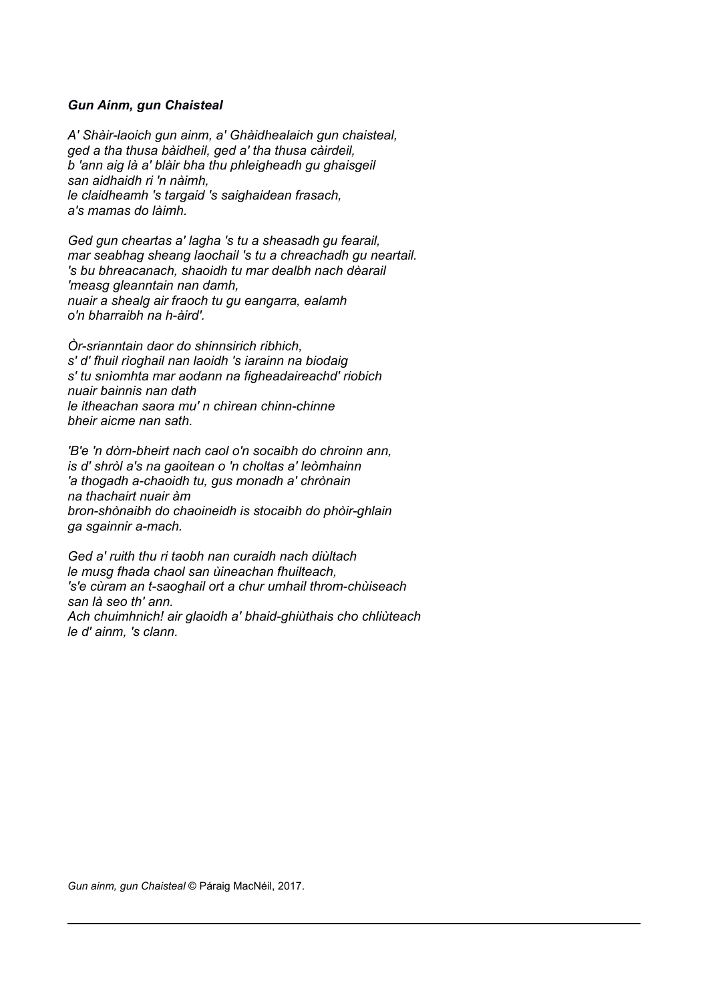## *Gun Ainm, gun Chaisteal*

*A' Shàir-laoich gun ainm, a' Ghàidhealaich gun chaisteal, ged a tha thusa bàidheil, ged a' tha thusa càirdeil, b 'ann aig là a' blàir bha thu phleigheadh gu ghaisgeil san aidhaidh ri 'n nàimh, le claidheamh 's targaid 's saighaidean frasach, a's mamas do làimh.*

*Ged gun cheartas a' lagha 's tu a sheasadh gu fearail, mar seabhag sheang laochail 's tu a chreachadh gu neartail. 's bu bhreacanach, shaoidh tu mar dealbh nach dèarail 'measg gleanntain nan damh, nuair a shealg air fraoch tu gu eangarra, ealamh o'n bharraibh na h-àird'.*

*Òr-srianntain daor do shinnsirich ribhich, s' d' fhuil rìoghail nan laoidh 's iarainn na biodaig s' tu snìomhta mar aodann na figheadaireachd' riobich nuair bainnis nan dath le itheachan saora mu' n chìrean chinn-chinne bheir aicme nan sath.*

*'B'e 'n dòrn-bheirt nach caol o'n socaibh do chroinn ann, is d' shròl a's na gaoitean o 'n choltas a' leòmhainn 'a thogadh a-chaoidh tu, gus monadh a' chrònain na thachairt nuair àm bron-shònaibh do chaoineidh is stocaibh do phòir-ghlain ga sgainnir a-mach.*

*Ged a' ruith thu ri taobh nan curaidh nach diùltach le musg fhada chaol san ùineachan fhuilteach, 's'e cùram an t-saoghail ort a chur umhail throm-chùiseach san là seo th' ann. Ach chuimhnich! air glaoidh a' bhaid-ghiùthais cho chliùteach le d' ainm, 's clann.*

*Gun ainm, gun Chaisteal* © Páraig MacNéil, 2017.